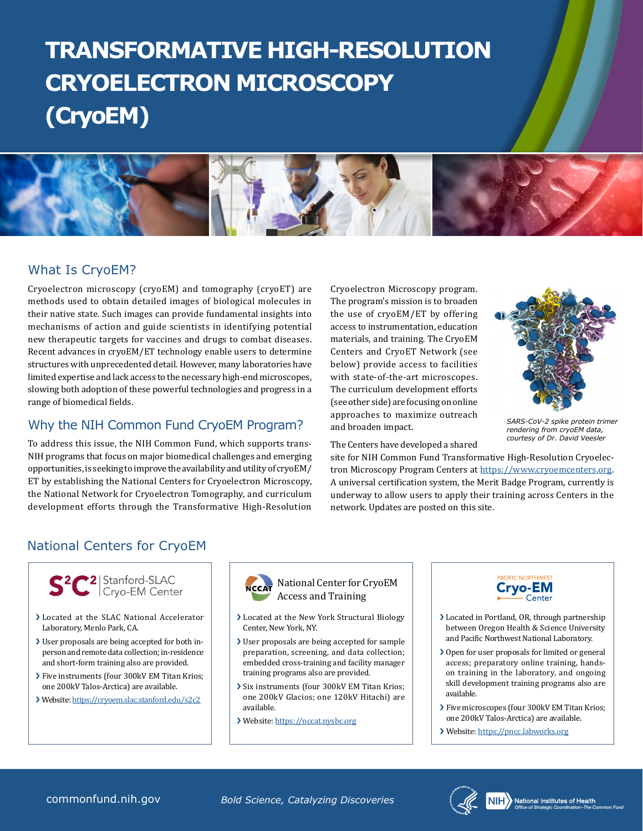# **TRANSFORMATIVE HIGH-RESOLUTION CRYOELECTRON MICROSCOPY (CryoEM)**



## What Is CryoEM?

Cryoelectron microscopy (cryoEM) and tomography (cryoET) are methods used to obtain detailed images of biological molecules in their native state. Such images can provide fundamental insights into mechanisms of action and guide scientists in identifying potential new therapeutic targets for vaccines and drugs to combat diseases. Recent advances in cryoEM/ET technology enable users to determine structures with unprecedented detail. However, many laboratories have limited expertise and lack access to the necessary high-end microscopes, slowing both adoption of these powerful technologies and progress in a range of biomedical fields.

## Why the NIH Common Fund CryoEM Program?

To address this issue, the NIH Common Fund, which supports trans-NIH programs that focus on major biomedical challenges and emerging opportunities, is seeking to improve the availability and utility of cryoEM/ ET by establishing the National Centers for Cryoelectron Microscopy, the National Network for Cryoelectron Tomography, and curriculum development efforts through the Transformative High-Resolution

Cryoelectron Microscopy program. The program's mission is to broaden the use of cryoEM/ET by offering access to instrumentation, education materials, and training. The CryoEM Centers and CryoET Network (see below) provide access to facilities with state-of-the-art microscopes. The curriculum development efforts (see other side) are focusing on online approaches to maximize outreach and broaden impact.

The Centers have developed a shared



*SARS-CoV-2 spike protein trimer rendering from cryoEM data, courtesy of Dr. David Veesler*

site for NIH Common Fund Transformative High-Resolution Cryoelectron Microscopy Program Centers at <https://www.cryoemcenters.org>. A universal certification system, the Merit Badge Program, currently is underway to allow users to apply their training across Centers in the network. Updates are posted on this site.

# National Centers for CryoEM



- ❯ Located at the SLAC National Accelerator
- ❯ User proposals are being accepted for both in and short-form training also are provided.
- > Five instruments (four 300kV EM Titan Krios; one 200kV Talos-Arctica) are available.
- ❯ Website:<https://cryoem.slac.stanford.edu/s2c2>



- Located at the New York Structural Biology Center, New York, NY.
- ❯ User proposals are being accepted for sample embedded cross-training and facility manager training programs also are provided.
- Six instruments (four 300kV EM Titan Krios;<br>one 200kV Glacios; one 120kV Hitachi) are available.
- ❯ Website: [https://nccat.nysbc.org](https://nccat.nysbc.org/)



- ❯ Located in Portland, OR, through partnership and Pacific Northwest National Laboratory.
- ❯ Open for user proposals for limited or general on training in the laboratory, and ongoing skill development training programs also are available.
- ▶ Five microscopes (four 300kV EM Titan Krios;<br>one 200kV Talos-Arctica) are available.
- ❯ Website: <https://pncc.labworks.org>